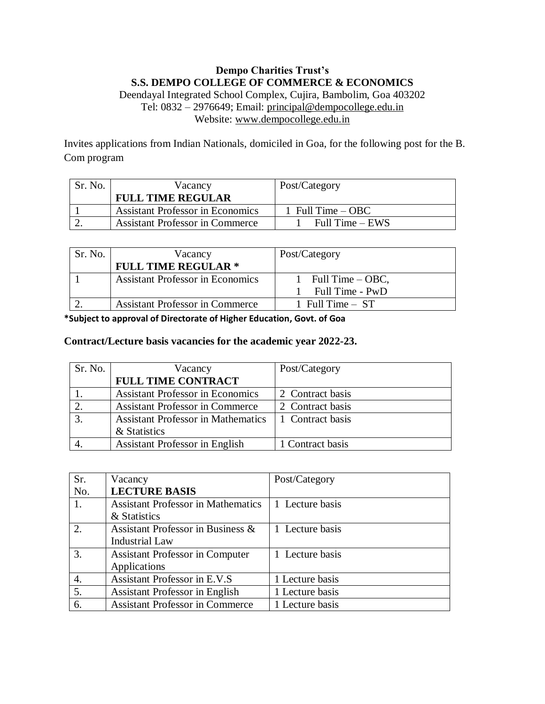## **Dempo Charities Trust's S.S. DEMPO COLLEGE OF COMMERCE & ECONOMICS** Deendayal Integrated School Complex, Cujira, Bambolim, Goa 403202 Tel: 0832 – 2976649; Email: [principal@dempocollege.edu.in](mailto:principal@dempocollege.edu.in)

Website: [www.dempocollege.edu.in](http://www.dempocollege.edu.in/)

Invites applications from Indian Nationals, domiciled in Goa, for the following post for the B. Com program

| Sr. No. | Vacancy                                 | Post/Category       |
|---------|-----------------------------------------|---------------------|
|         | <b>FULL TIME REGULAR</b>                |                     |
|         | <b>Assistant Professor in Economics</b> | 1 Full Time $-$ OBC |
|         | <b>Assistant Professor in Commerce</b>  | Full Time $-$ EWS   |

| Sr. No. | Vacancy                                 | Post/Category                         |
|---------|-----------------------------------------|---------------------------------------|
|         | <b>FULL TIME REGULAR *</b>              |                                       |
|         | <b>Assistant Professor in Economics</b> | Full Time $-$ OBC,<br>Full Time - PwD |
|         | <b>Assistant Professor in Commerce</b>  | 1 Full Time $-$ ST                    |

**\*Subject to approval of Directorate of Higher Education, Govt. of Goa**

## **Contract/Lecture basis vacancies for the academic year 2022-23.**

| Sr. No. | Vacancy                                   | Post/Category    |
|---------|-------------------------------------------|------------------|
|         | <b>FULL TIME CONTRACT</b>                 |                  |
|         | <b>Assistant Professor in Economics</b>   | 2 Contract basis |
|         | <b>Assistant Professor in Commerce</b>    | 2 Contract basis |
|         | <b>Assistant Professor in Mathematics</b> | 1 Contract basis |
|         | & Statistics                              |                  |
|         | <b>Assistant Professor in English</b>     | 1 Contract basis |

| Sr. | Vacancy                                   | Post/Category   |
|-----|-------------------------------------------|-----------------|
| No. | <b>LECTURE BASIS</b>                      |                 |
| 1.  | <b>Assistant Professor in Mathematics</b> | 1 Lecture basis |
|     | & Statistics                              |                 |
|     | Assistant Professor in Business &         | 1 Lecture basis |
|     | <b>Industrial Law</b>                     |                 |
| 3.  | <b>Assistant Professor in Computer</b>    | 1 Lecture basis |
|     | Applications                              |                 |
| 4.  | <b>Assistant Professor in E.V.S</b>       | 1 Lecture basis |
| 5.  | <b>Assistant Professor in English</b>     | 1 Lecture basis |
| 6.  | <b>Assistant Professor in Commerce</b>    | 1 Lecture basis |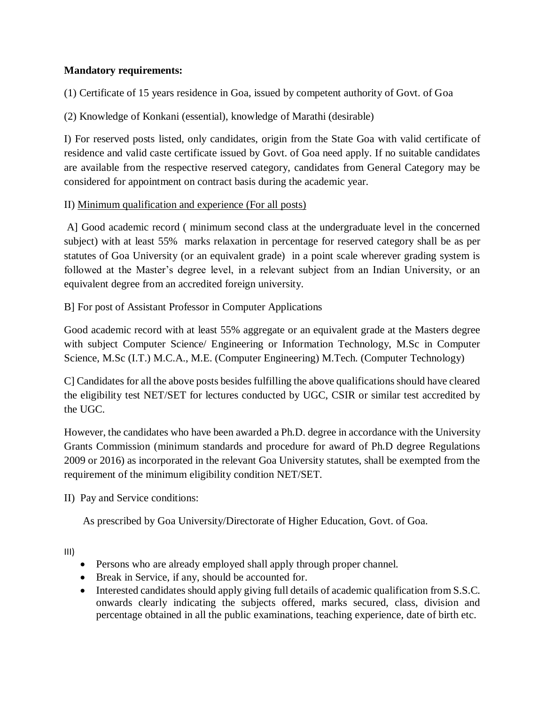## **Mandatory requirements:**

(1) Certificate of 15 years residence in Goa, issued by competent authority of Govt. of Goa

(2) Knowledge of Konkani (essential), knowledge of Marathi (desirable)

I) For reserved posts listed, only candidates, origin from the State Goa with valid certificate of residence and valid caste certificate issued by Govt. of Goa need apply. If no suitable candidates are available from the respective reserved category, candidates from General Category may be considered for appointment on contract basis during the academic year.

## II) Minimum qualification and experience (For all posts)

A] Good academic record ( minimum second class at the undergraduate level in the concerned subject) with at least 55% marks relaxation in percentage for reserved category shall be as per statutes of Goa University (or an equivalent grade) in a point scale wherever grading system is followed at the Master's degree level, in a relevant subject from an Indian University, or an equivalent degree from an accredited foreign university.

B] For post of Assistant Professor in Computer Applications

Good academic record with at least 55% aggregate or an equivalent grade at the Masters degree with subject Computer Science/ Engineering or Information Technology, M.Sc in Computer Science, M.Sc (I.T.) M.C.A., M.E. (Computer Engineering) M.Tech. (Computer Technology)

C] Candidates for all the above posts besides fulfilling the above qualifications should have cleared the eligibility test NET/SET for lectures conducted by UGC, CSIR or similar test accredited by the UGC.

However, the candidates who have been awarded a Ph.D. degree in accordance with the University Grants Commission (minimum standards and procedure for award of Ph.D degree Regulations 2009 or 2016) as incorporated in the relevant Goa University statutes, shall be exempted from the requirement of the minimum eligibility condition NET/SET.

II) Pay and Service conditions:

As prescribed by Goa University/Directorate of Higher Education, Govt. of Goa.

III)

- Persons who are already employed shall apply through proper channel.
- Break in Service, if any, should be accounted for.
- Interested candidates should apply giving full details of academic qualification from S.S.C. onwards clearly indicating the subjects offered, marks secured, class, division and percentage obtained in all the public examinations, teaching experience, date of birth etc.